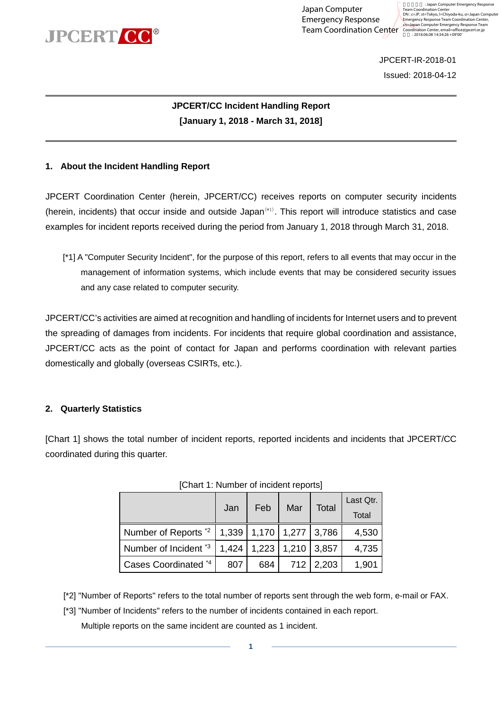

Japan Computer Emergency Response

Team Coordination Center Coordination Center Emergency Response Team<br>
Team Coordination Center Coordination Center, email=office@jpcert.or.jp : Japan Computer Emergency Resp Team Coordination Center<br>DN : c=JP, st=Tokyo, l=Chiyoda-ku, o=Japan Computer<br>Emergency Response Team Coordination Center,

> JPCERT-IR-2018-01 Issued: 2018-04-12

### **JPCERT/CC Incident Handling Report [January 1, 2018 - March 31, 2018]**

#### **1. About the Incident Handling Report**

JPCERT Coordination Center (herein, JPCERT/CC) receives reports on computer security incidents (herein, incidents) that occur inside and outside Japan(\*1). This report will introduce statistics and case examples for incident reports received during the period from January 1, 2018 through March 31, 2018.

[\*1] A "Computer Security Incident", for the purpose of this report, refers to all events that may occur in the management of information systems, which include events that may be considered security issues and any case related to computer security.

JPCERT/CC's activities are aimed at recognition and handling of incidents for Internet users and to prevent the spreading of damages from incidents. For incidents that require global coordination and assistance, JPCERT/CC acts as the point of contact for Japan and performs coordination with relevant parties domestically and globally (overseas CSIRTs, etc.).

### **2. Quarterly Statistics**

[Chart 1] shows the total number of incident reports, reported incidents and incidents that JPCERT/CC coordinated during this quarter.

|                                  | Jan   | Feb   | Mar           | Total | Last Qtr.<br>Total |
|----------------------------------|-------|-------|---------------|-------|--------------------|
| Number of Reports *2             | 1,339 | 1,170 | $1,277$ 3,786 |       | 4,530              |
| Number of Incident <sup>*3</sup> | 1,424 | 1,223 | 1,210         | 3,857 | 4,735              |
| Cases Coordinated *4             | 807   | 684   | 712           | 2,203 | 1,901              |

[Chart 1: Number of incident reports]

[\*2] "Number of Reports" refers to the total number of reports sent through the web form, e-mail or FAX.

[\*3] "Number of Incidents" refers to the number of incidents contained in each report.

Multiple reports on the same incident are counted as 1 incident.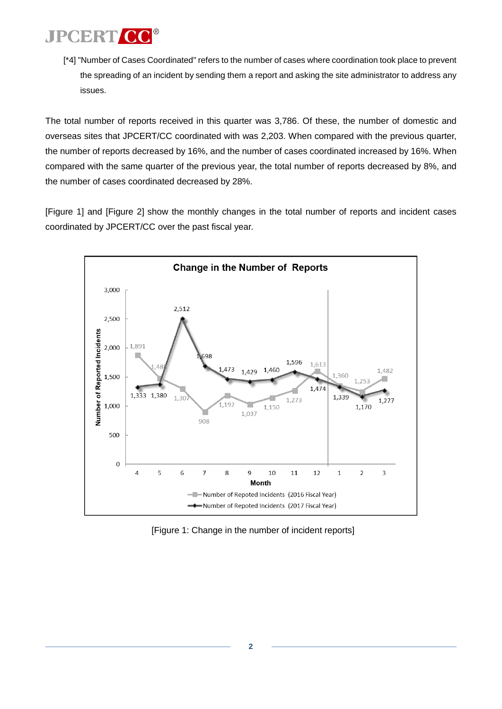[\*4] "Number of Cases Coordinated" refers to the number of cases where coordination took place to prevent the spreading of an incident by sending them a report and asking the site administrator to address any issues.

The total number of reports received in this quarter was 3,786. Of these, the number of domestic and overseas sites that JPCERT/CC coordinated with was 2,203. When compared with the previous quarter, the number of reports decreased by 16%, and the number of cases coordinated increased by 16%. When compared with the same quarter of the previous year, the total number of reports decreased by 8%, and the number of cases coordinated decreased by 28%.

[Figure 1] and [Figure 2] show the monthly changes in the total number of reports and incident cases coordinated by JPCERT/CC over the past fiscal year.



[Figure 1: Change in the number of incident reports]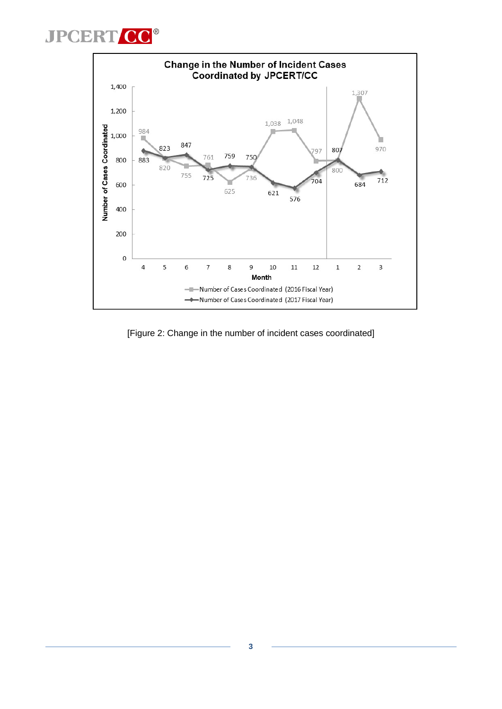



[Figure 2: Change in the number of incident cases coordinated]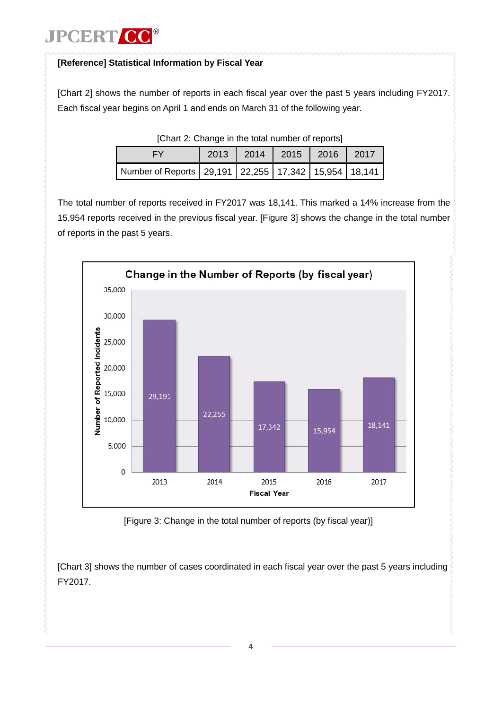### **[Reference] Statistical Information by Fiscal Year**

[Chart 2] shows the number of reports in each fiscal year over the past 5 years including FY2017. Each fiscal year begins on April 1 and ends on March 31 of the following year.

|                                                                | 2013 |  | 2014   2015   2016   2017 |  |  |  |  |
|----------------------------------------------------------------|------|--|---------------------------|--|--|--|--|
| Number of Reports   29,191   22,255   17,342   15,954   18,141 |      |  |                           |  |  |  |  |

[Chart 2: Change in the total number of reports]

The total number of reports received in FY2017 was 18,141. This marked a 14% increase from the 15,954 reports received in the previous fiscal year. [Figure 3] shows the change in the total number of reports in the past 5 years.



[Figure 3: Change in the total number of reports (by fiscal year)]

[\[Chart](#page-4-0) 3] shows the number of cases coordinated in each fiscal year over the past 5 years including FY2017.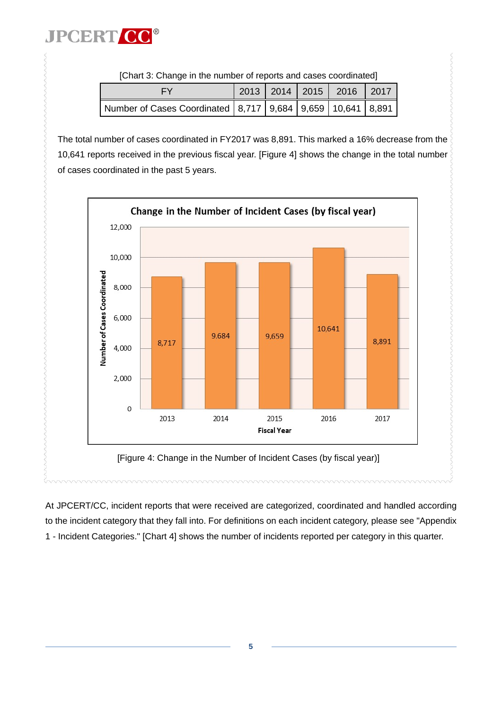<span id="page-4-0"></span>

|                                                                      |  |  |  | 2013   2014   2015   2016   2017 |  |  |
|----------------------------------------------------------------------|--|--|--|----------------------------------|--|--|
| Number of Cases Coordinated   8,717   9,684   9,659   10,641   8,891 |  |  |  |                                  |  |  |

[Chart 3: Change in the number of reports and cases coordinated]

The total number of cases coordinated in FY2017 was 8,891. This marked a 16% decrease from the 10,641 reports received in the previous fiscal year. [Figure 4] shows the change in the total number of cases coordinated in the past 5 years.



At JPCERT/CC, incident reports that were received are categorized, coordinated and handled according to the incident category that they fall into. For definitions on each incident category, please see "Appendix 1 - Incident Categories." [\[Chart 4\]](#page-5-0) shows the number of incidents reported per category in this quarter.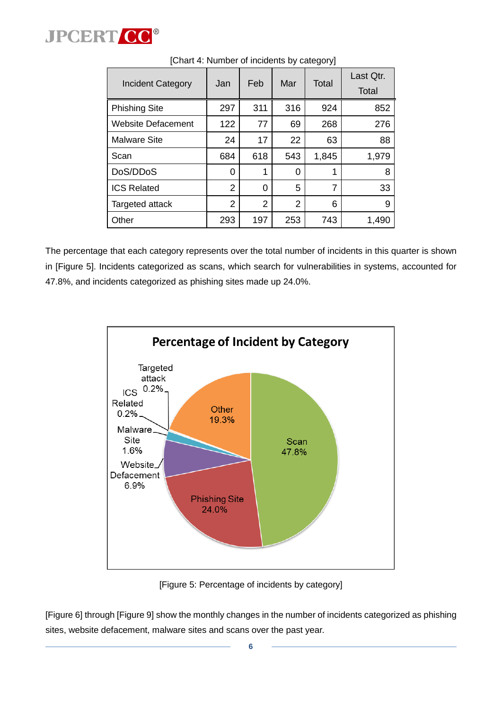

| <b>Incident Category</b> | Jan | Feb | Mar | Total | Last Qtr.<br>Total |
|--------------------------|-----|-----|-----|-------|--------------------|
| <b>Phishing Site</b>     | 297 | 311 | 316 | 924   | 852                |
| Website Defacement       | 122 | 77  | 69  | 268   | 276                |
| <b>Malware Site</b>      | 24  | 17  | 22  | 63    | 88                 |
| Scan                     | 684 | 618 | 543 | 1,845 | 1,979              |
| DoS/DDoS                 | 0   | 1   | 0   | 1     | 8                  |
| <b>ICS Related</b>       | 2   | 0   | 5   | 7     | 33                 |
| Targeted attack          | 2   | 2   | 2   | 6     | 9                  |
| Other                    | 293 | 197 | 253 | 743   | 1,490              |

<span id="page-5-0"></span>[Chart 4: Number of incidents by category]

The percentage that each category represents over the total number of incidents in this quarter is shown in [\[Figure](#page-5-1) 5]. Incidents categorized as scans, which search for vulnerabilities in systems, accounted for 47.8%, and incidents categorized as phishing sites made up 24.0%.



[Figure 5: Percentage of incidents by category]

<span id="page-5-1"></span>[\[Figure](#page-6-0) 6] throug[h \[Figure](#page-7-0) 9] show the monthly changes in the number of incidents categorized as phishing sites, website defacement, malware sites and scans over the past year.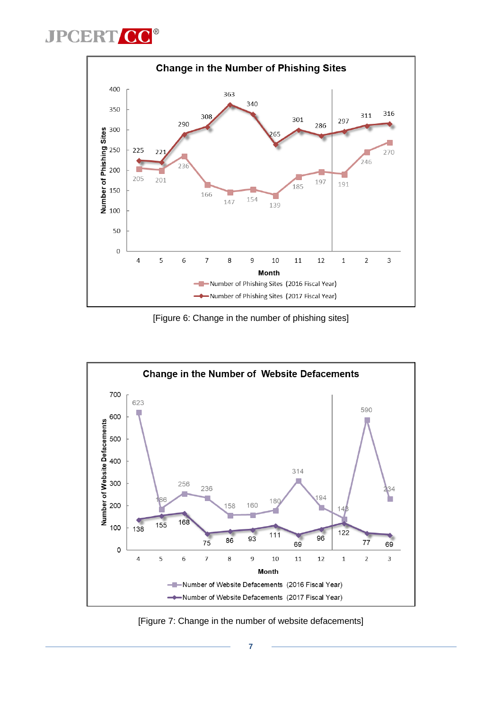

[Figure 6: Change in the number of phishing sites]

<span id="page-6-0"></span>

[Figure 7: Change in the number of website defacements]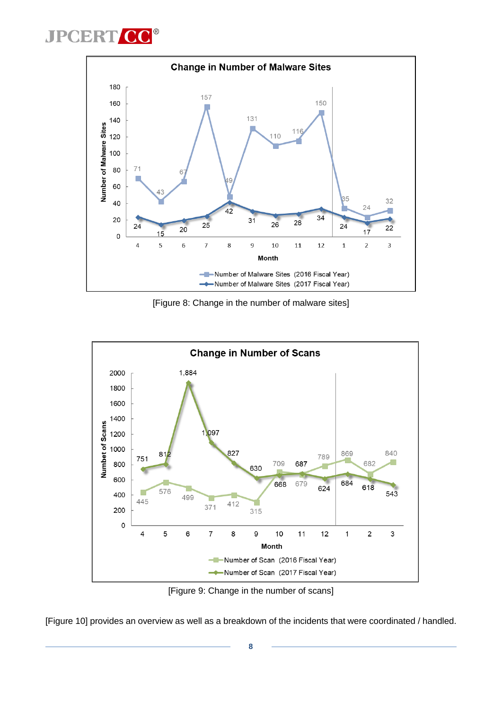

[Figure 8: Change in the number of malware sites]



[Figure 9: Change in the number of scans]

<span id="page-7-0"></span>[\[Figure 10\]](#page-8-0) provides an overview as well as a breakdown of the incidents that were coordinated / handled.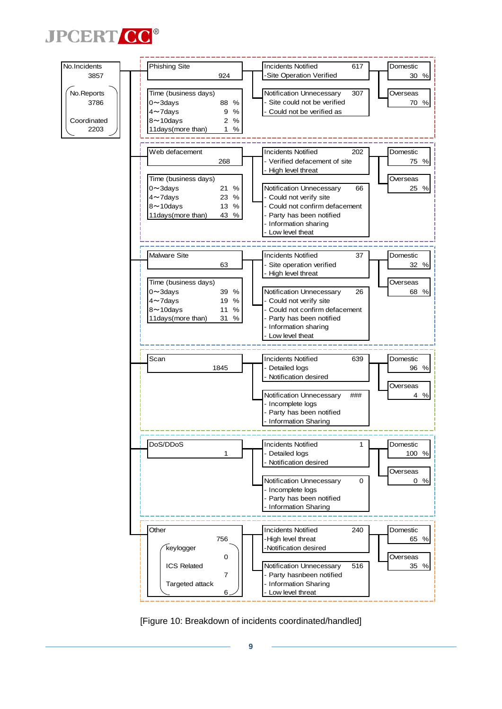



<span id="page-8-0"></span>[Figure 10: Breakdown of incidents coordinated/handled]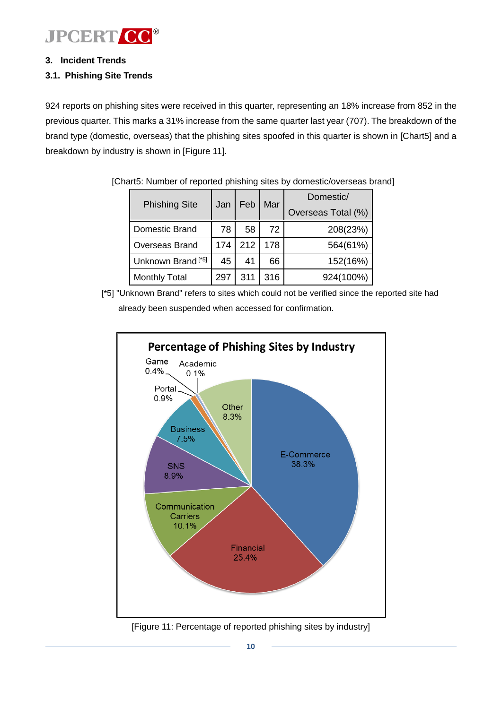

#### **3. Incident Trends**

#### **3.1. Phishing Site Trends**

924 reports on phishing sites were received in this quarter, representing an 18% increase from 852 in the previous quarter. This marks a 31% increase from the same quarter last year (707). The breakdown of the brand type (domestic, overseas) that the phishing sites spoofed in this quarter is shown in [\[Chart5](#page-9-0)] and a breakdown by industry is shown in [\[Figure](#page-9-1) 11].

| <b>Phishing Site</b>          | Jan | Feb | Mar | Domestic/<br>Overseas Total (%) |
|-------------------------------|-----|-----|-----|---------------------------------|
| Domestic Brand                | 78  | 58  | 72  | 208(23%)                        |
| <b>Overseas Brand</b>         | 174 | 212 | 178 | 564(61%)                        |
| Unknown Brand <sup>[*5]</sup> | 45  | 41  | 66  | 152(16%)                        |
| <b>Monthly Total</b>          | 297 | 311 | 316 | 924(100%)                       |

<span id="page-9-0"></span>[Chart5: Number of reported phishing sites by domestic/overseas brand]

[\*5] "Unknown Brand" refers to sites which could not be verified since the reported site had already been suspended when accessed for confirmation.



<span id="page-9-1"></span>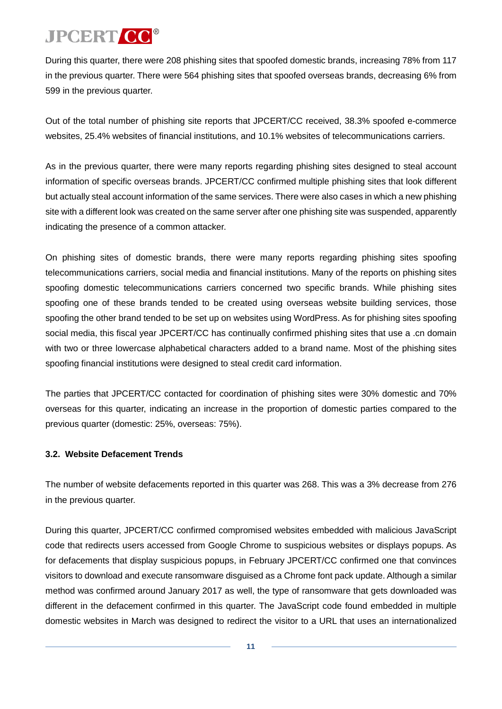During this quarter, there were 208 phishing sites that spoofed domestic brands, increasing 78% from 117 in the previous quarter. There were 564 phishing sites that spoofed overseas brands, decreasing 6% from 599 in the previous quarter.

Out of the total number of phishing site reports that JPCERT/CC received, 38.3% spoofed e-commerce websites, 25.4% websites of financial institutions, and 10.1% websites of telecommunications carriers.

As in the previous quarter, there were many reports regarding phishing sites designed to steal account information of specific overseas brands. JPCERT/CC confirmed multiple phishing sites that look different but actually steal account information of the same services. There were also cases in which a new phishing site with a different look was created on the same server after one phishing site was suspended, apparently indicating the presence of a common attacker.

On phishing sites of domestic brands, there were many reports regarding phishing sites spoofing telecommunications carriers, social media and financial institutions. Many of the reports on phishing sites spoofing domestic telecommunications carriers concerned two specific brands. While phishing sites spoofing one of these brands tended to be created using overseas website building services, those spoofing the other brand tended to be set up on websites using WordPress. As for phishing sites spoofing social media, this fiscal year JPCERT/CC has continually confirmed phishing sites that use a .cn domain with two or three lowercase alphabetical characters added to a brand name. Most of the phishing sites spoofing financial institutions were designed to steal credit card information.

The parties that JPCERT/CC contacted for coordination of phishing sites were 30% domestic and 70% overseas for this quarter, indicating an increase in the proportion of domestic parties compared to the previous quarter (domestic: 25%, overseas: 75%).

### **3.2. Website Defacement Trends**

The number of website defacements reported in this quarter was 268. This was a 3% decrease from 276 in the previous quarter.

During this quarter, JPCERT/CC confirmed compromised websites embedded with malicious JavaScript code that redirects users accessed from Google Chrome to suspicious websites or displays popups. As for defacements that display suspicious popups, in February JPCERT/CC confirmed one that convinces visitors to download and execute ransomware disguised as a Chrome font pack update. Although a similar method was confirmed around January 2017 as well, the type of ransomware that gets downloaded was different in the defacement confirmed in this quarter. The JavaScript code found embedded in multiple domestic websites in March was designed to redirect the visitor to a URL that uses an internationalized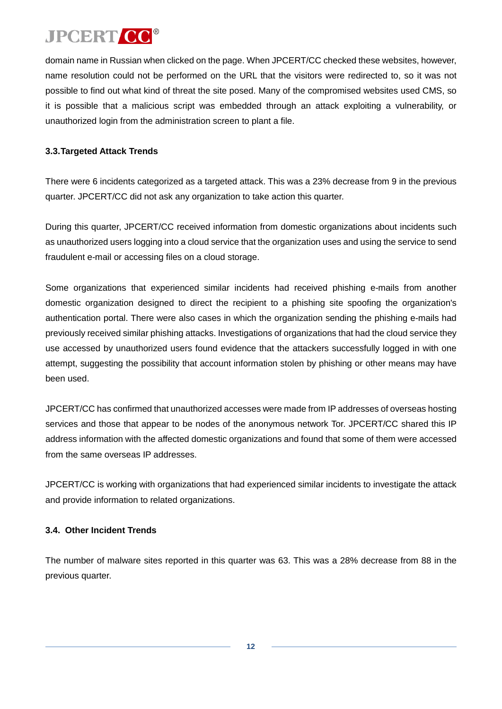domain name in Russian when clicked on the page. When JPCERT/CC checked these websites, however, name resolution could not be performed on the URL that the visitors were redirected to, so it was not possible to find out what kind of threat the site posed. Many of the compromised websites used CMS, so it is possible that a malicious script was embedded through an attack exploiting a vulnerability, or unauthorized login from the administration screen to plant a file.

### **3.3.Targeted Attack Trends**

There were 6 incidents categorized as a targeted attack. This was a 23% decrease from 9 in the previous quarter. JPCERT/CC did not ask any organization to take action this quarter.

During this quarter, JPCERT/CC received information from domestic organizations about incidents such as unauthorized users logging into a cloud service that the organization uses and using the service to send fraudulent e-mail or accessing files on a cloud storage.

Some organizations that experienced similar incidents had received phishing e-mails from another domestic organization designed to direct the recipient to a phishing site spoofing the organization's authentication portal. There were also cases in which the organization sending the phishing e-mails had previously received similar phishing attacks. Investigations of organizations that had the cloud service they use accessed by unauthorized users found evidence that the attackers successfully logged in with one attempt, suggesting the possibility that account information stolen by phishing or other means may have been used.

JPCERT/CC has confirmed that unauthorized accesses were made from IP addresses of overseas hosting services and those that appear to be nodes of the anonymous network Tor. JPCERT/CC shared this IP address information with the affected domestic organizations and found that some of them were accessed from the same overseas IP addresses.

JPCERT/CC is working with organizations that had experienced similar incidents to investigate the attack and provide information to related organizations.

### **3.4. Other Incident Trends**

The number of malware sites reported in this quarter was 63. This was a 28% decrease from 88 in the previous quarter.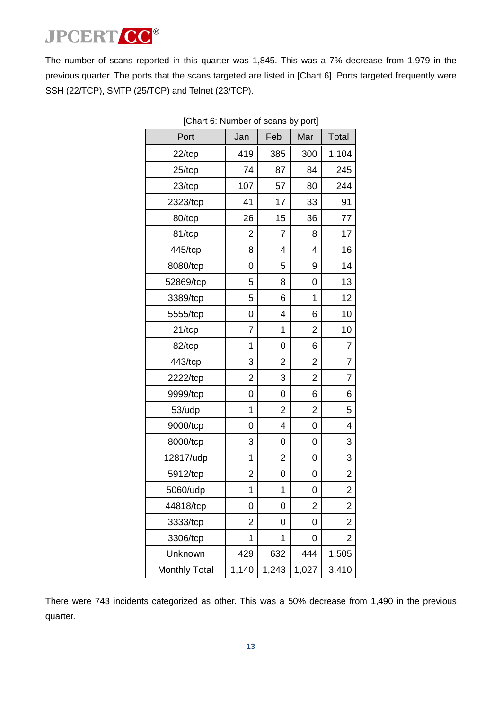<span id="page-12-0"></span>The number of scans reported in this quarter was 1,845. This was a 7% decrease from 1,979 in the previous quarter. The ports that the scans targeted are listed in [\[Chart](#page-12-0) 6]. Ports targeted frequently were SSH (22/TCP), SMTP (25/TCP) and Telnet (23/TCP).

| Port                 | Jan            | Feb            | Mar            | <b>Total</b>            |
|----------------------|----------------|----------------|----------------|-------------------------|
| $22$ /tcp            | 419            | 385            | 300            | 1,104                   |
| $25$ /tcp            | 74             | 87             | 84             | 245                     |
| 23/tcp               | 107            | 57             | 80             | 244                     |
| 2323/tcp             | 41             | 17             | 33             | 91                      |
| 80/tcp               | 26             | 15             | 36             | 77                      |
| 81/tcp               | 2              | 7              | 8              | 17                      |
| 445/tcp              | 8              | 4              | 4              | 16                      |
| 8080/tcp             | 0              | 5              | 9              | 14                      |
| 52869/tcp            | 5              | 8              | 0              | 13                      |
| 3389/tcp             | 5              | 6              | 1              | 12                      |
| 5555/tcp             | 0              | 4              | 6              | 10                      |
| $21/$ tcp            | $\overline{7}$ | 1              | $\overline{2}$ | 10                      |
| 82/tcp               | 1              | 0              | 6              | 7                       |
| 443/tcp              | 3              | 2              | 2              | 7                       |
| 2222/tcp             | 2              | 3              | $\overline{2}$ | $\overline{7}$          |
| 9999/tcp             | 0              | 0              | 6              | 6                       |
| 53/udp               | 1              | $\overline{2}$ | $\overline{2}$ | 5                       |
| 9000/tcp             | 0              | 4              | 0              | 4                       |
| 8000/tcp             | 3              | 0              | 0              | 3                       |
| 12817/udp            | 1              | 2              | 0              | 3                       |
| 5912/tcp             | 2              | 0              | 0              | 2                       |
| 5060/udp             | 1              | 1              | 0              | $\overline{\mathbf{c}}$ |
| 44818/tcp            | 0              | 0              | $\overline{c}$ | $\overline{\mathbf{c}}$ |
| 3333/tcp             | 2              | 0              | 0              | 2                       |
| 3306/tcp             | 1              | 1              | 0              | 2                       |
| Unknown              | 429            | 632            | 444            | 1,505                   |
| <b>Monthly Total</b> | 1,140          | 1,243          | 1,027          | 3,410                   |

[Chart 6: Number of scans by port]

There were 743 incidents categorized as other. This was a 50% decrease from 1,490 in the previous quarter.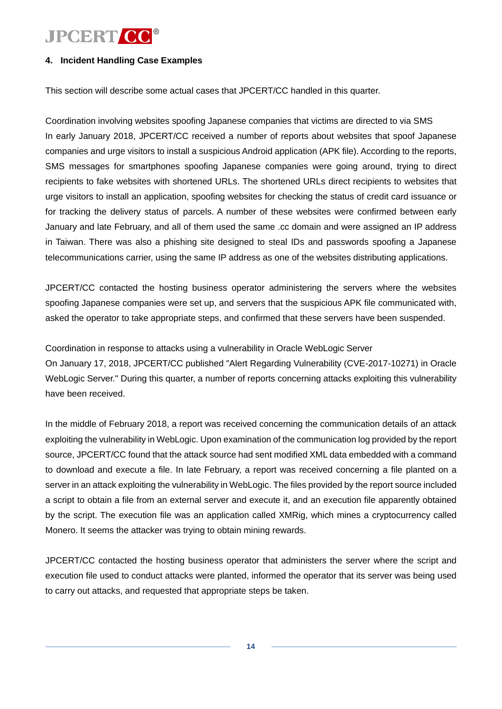#### **4. Incident Handling Case Examples**

This section will describe some actual cases that JPCERT/CC handled in this quarter.

Coordination involving websites spoofing Japanese companies that victims are directed to via SMS In early January 2018, JPCERT/CC received a number of reports about websites that spoof Japanese companies and urge visitors to install a suspicious Android application (APK file). According to the reports, SMS messages for smartphones spoofing Japanese companies were going around, trying to direct recipients to fake websites with shortened URLs. The shortened URLs direct recipients to websites that urge visitors to install an application, spoofing websites for checking the status of credit card issuance or for tracking the delivery status of parcels. A number of these websites were confirmed between early January and late February, and all of them used the same .cc domain and were assigned an IP address in Taiwan. There was also a phishing site designed to steal IDs and passwords spoofing a Japanese telecommunications carrier, using the same IP address as one of the websites distributing applications.

JPCERT/CC contacted the hosting business operator administering the servers where the websites spoofing Japanese companies were set up, and servers that the suspicious APK file communicated with, asked the operator to take appropriate steps, and confirmed that these servers have been suspended.

Coordination in response to attacks using a vulnerability in Oracle WebLogic Server On January 17, 2018, JPCERT/CC published "Alert Regarding Vulnerability (CVE-2017-10271) in Oracle WebLogic Server." During this quarter, a number of reports concerning attacks exploiting this vulnerability have been received.

In the middle of February 2018, a report was received concerning the communication details of an attack exploiting the vulnerability in WebLogic. Upon examination of the communication log provided by the report source, JPCERT/CC found that the attack source had sent modified XML data embedded with a command to download and execute a file. In late February, a report was received concerning a file planted on a server in an attack exploiting the vulnerability in WebLogic. The files provided by the report source included a script to obtain a file from an external server and execute it, and an execution file apparently obtained by the script. The execution file was an application called XMRig, which mines a cryptocurrency called Monero. It seems the attacker was trying to obtain mining rewards.

JPCERT/CC contacted the hosting business operator that administers the server where the script and execution file used to conduct attacks were planted, informed the operator that its server was being used to carry out attacks, and requested that appropriate steps be taken.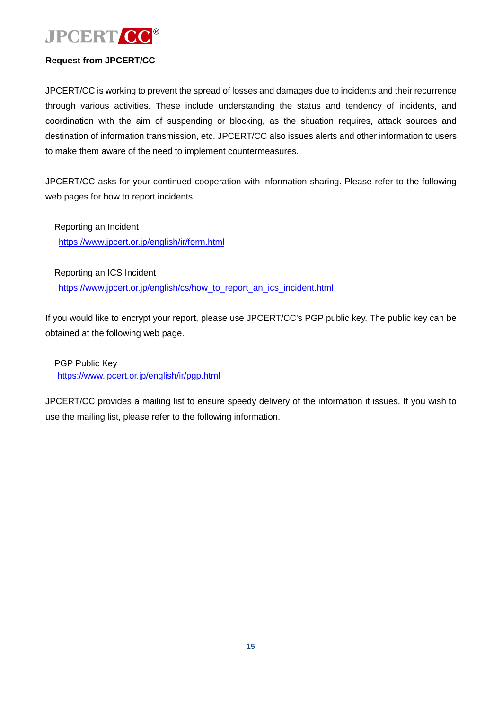

#### **Request from JPCERT/CC**

JPCERT/CC is working to prevent the spread of losses and damages due to incidents and their recurrence through various activities. These include understanding the status and tendency of incidents, and coordination with the aim of suspending or blocking, as the situation requires, attack sources and destination of information transmission, etc. JPCERT/CC also issues alerts and other information to users to make them aware of the need to implement countermeasures.

JPCERT/CC asks for your continued cooperation with information sharing. Please refer to the following web pages for how to report incidents.

Reporting an Incident <https://www.jpcert.or.jp/english/ir/form.html>

Reporting an ICS Incident

[https://www.jpcert.or.jp/english/cs/how\\_to\\_report\\_an\\_ics\\_incident.html](https://www.jpcert.or.jp/english/cs/how_to_report_an_ics_incident.html)

If you would like to encrypt your report, please use JPCERT/CC's PGP public key. The public key can be obtained at the following web page.

PGP Public Key <https://www.jpcert.or.jp/english/ir/pgp.html>

JPCERT/CC provides a mailing list to ensure speedy delivery of the information it issues. If you wish to use the mailing list, please refer to the following information.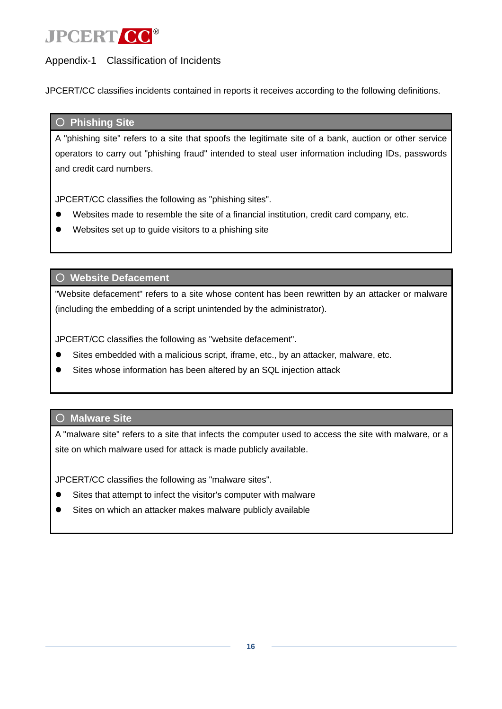### Appendix-1 Classification of Incidents

JPCERT/CC classifies incidents contained in reports it receives according to the following definitions.

#### ○ **Phishing Site**

A "phishing site" refers to a site that spoofs the legitimate site of a bank, auction or other service operators to carry out "phishing fraud" intended to steal user information including IDs, passwords and credit card numbers.

JPCERT/CC classifies the following as "phishing sites".

- Websites made to resemble the site of a financial institution, credit card company, etc.
- Websites set up to guide visitors to a phishing site

○ **Website Defacement**

"Website defacement" refers to a site whose content has been rewritten by an attacker or malware (including the embedding of a script unintended by the administrator).

JPCERT/CC classifies the following as "website defacement".

- Sites embedded with a malicious script, iframe, etc., by an attacker, malware, etc.
- Sites whose information has been altered by an SQL injection attack

### ○ **Malware Site**

A "malware site" refers to a site that infects the computer used to access the site with malware, or a site on which malware used for attack is made publicly available.

JPCERT/CC classifies the following as "malware sites".

- Sites that attempt to infect the visitor's computer with malware
- Sites on which an attacker makes malware publicly available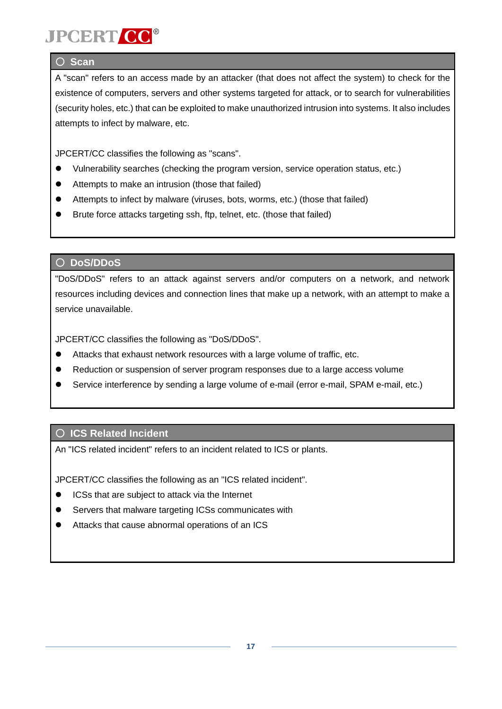# **JPCERT CO**

### ○ **Scan**

A "scan" refers to an access made by an attacker (that does not affect the system) to check for the existence of computers, servers and other systems targeted for attack, or to search for vulnerabilities (security holes, etc.) that can be exploited to make unauthorized intrusion into systems. It also includes attempts to infect by malware, etc.

JPCERT/CC classifies the following as "scans".

- Vulnerability searches (checking the program version, service operation status, etc.)
- Attempts to make an intrusion (those that failed)
- Attempts to infect by malware (viruses, bots, worms, etc.) (those that failed)
- Brute force attacks targeting ssh, ftp, telnet, etc. (those that failed)

### ○ **DoS/DDoS**

"DoS/DDoS" refers to an attack against servers and/or computers on a network, and network resources including devices and connection lines that make up a network, with an attempt to make a service unavailable.

JPCERT/CC classifies the following as "DoS/DDoS".

- Attacks that exhaust network resources with a large volume of traffic, etc.
- Reduction or suspension of server program responses due to a large access volume
- Service interference by sending a large volume of e-mail (error e-mail, SPAM e-mail, etc.)

### ○ **ICS Related Incident**

An "ICS related incident" refers to an incident related to ICS or plants.

JPCERT/CC classifies the following as an "ICS related incident".

- ICSs that are subject to attack via the Internet
- Servers that malware targeting ICSs communicates with
- Attacks that cause abnormal operations of an ICS